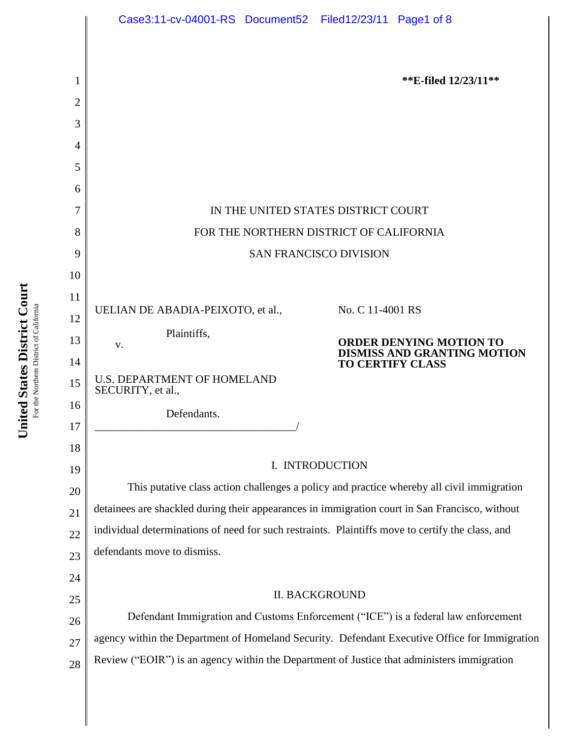

United States District Court **United States District Court** For the Northern District of California For the Northem District of California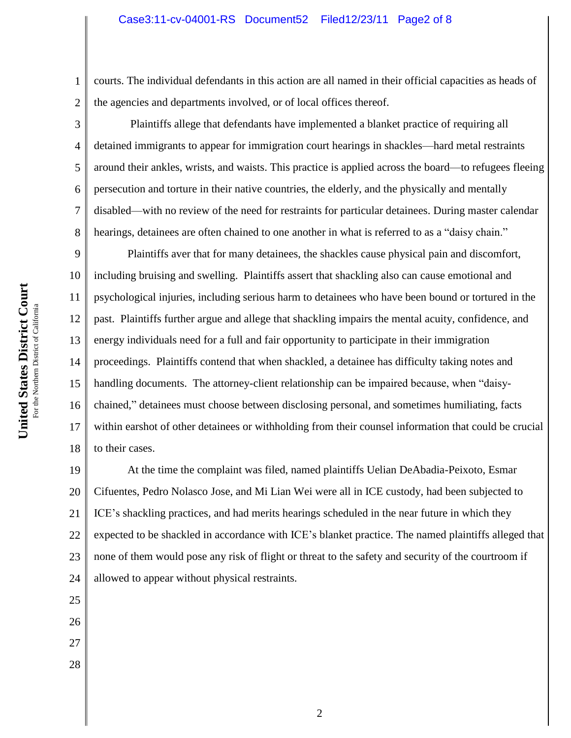1 2 courts. The individual defendants in this action are all named in their official capacities as heads of the agencies and departments involved, or of local offices thereof.

Plaintiffs allege that defendants have implemented a blanket practice of requiring all detained immigrants to appear for immigration court hearings in shackles—hard metal restraints around their ankles, wrists, and waists. This practice is applied across the board—to refugees fleeing persecution and torture in their native countries, the elderly, and the physically and mentally disabled—with no review of the need for restraints for particular detainees. During master calendar hearings, detainees are often chained to one another in what is referred to as a "daisy chain."

9 10 11 12 13 14 15 16 17 18 Plaintiffs aver that for many detainees, the shackles cause physical pain and discomfort, including bruising and swelling. Plaintiffs assert that shackling also can cause emotional and psychological injuries, including serious harm to detainees who have been bound or tortured in the past. Plaintiffs further argue and allege that shackling impairs the mental acuity, confidence, and energy individuals need for a full and fair opportunity to participate in their immigration proceedings. Plaintiffs contend that when shackled, a detainee has difficulty taking notes and handling documents. The attorney-client relationship can be impaired because, when "daisychained," detainees must choose between disclosing personal, and sometimes humiliating, facts within earshot of other detainees or withholding from their counsel information that could be crucial to their cases.

19 20 21 22 23 24 At the time the complaint was filed, named plaintiffs Uelian DeAbadia-Peixoto, Esmar Cifuentes, Pedro Nolasco Jose, and Mi Lian Wei were all in ICE custody, had been subjected to ICE's shackling practices, and had merits hearings scheduled in the near future in which they expected to be shackled in accordance with ICE's blanket practice. The named plaintiffs alleged that none of them would pose any risk of flight or threat to the safety and security of the courtroom if allowed to appear without physical restraints.

United States District Court **United States District Court** For the Northern District of California For the Northern District of Californi

3

4

5

6

7

8

25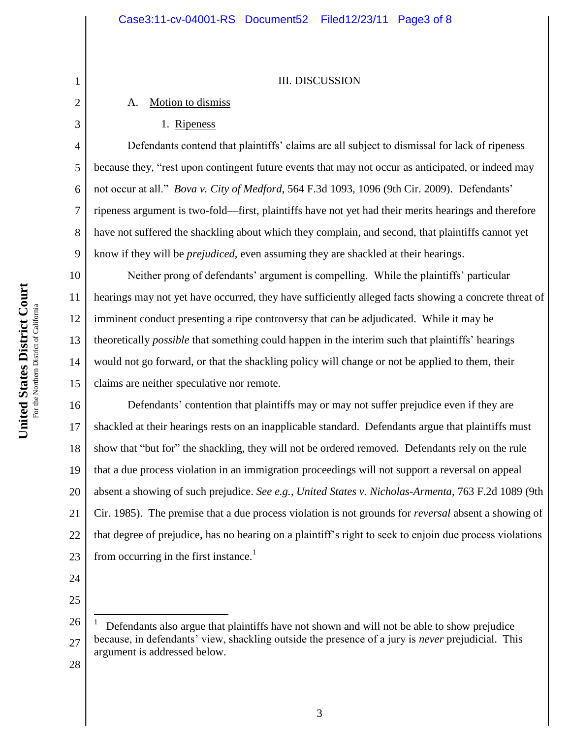#### III. DISCUSSION

# A. Motion to dismiss

1. Ripeness

Defendants contend that plaintiffs' claims are all subject to dismissal for lack of ripeness because they, "rest upon contingent future events that may not occur as anticipated, or indeed may not occur at all." *Bova v. City of Medford*, 564 F.3d 1093, 1096 (9th Cir. 2009). Defendants' ripeness argument is two-fold—first, plaintiffs have not yet had their merits hearings and therefore have not suffered the shackling about which they complain, and second, that plaintiffs cannot yet know if they will be *prejudiced*, even assuming they are shackled at their hearings.

10 11 12 13 14 15 Neither prong of defendants' argument is compelling. While the plaintiffs' particular hearings may not yet have occurred, they have sufficiently alleged facts showing a concrete threat of imminent conduct presenting a ripe controversy that can be adjudicated. While it may be theoretically *possible* that something could happen in the interim such that plaintiffs' hearings would not go forward, or that the shackling policy will change or not be applied to them, their claims are neither speculative nor remote.

16 17 18 19 20 21 22 23 Defendants' contention that plaintiffs may or may not suffer prejudice even if they are shackled at their hearings rests on an inapplicable standard. Defendants argue that plaintiffs must show that "but for" the shackling, they will not be ordered removed. Defendants rely on the rule that a due process violation in an immigration proceedings will not support a reversal on appeal absent a showing of such prejudice. *See e.g., United States v. Nicholas-Armenta*, 763 F.2d 1089 (9th Cir. 1985). The premise that a due process violation is not grounds for *reversal* absent a showing of that degree of prejudice, has no bearing on a plaintiff's right to seek to enjoin due process violations from occurring in the first instance.<sup>1</sup>

24

1

2

3

4

5

6

7

8

9

25

 $\overline{a}$ 

<sup>26</sup> 27 1 Defendants also argue that plaintiffs have not shown and will not be able to show prejudice because, in defendants' view, shackling outside the presence of a jury is *never* prejudicial. This argument is addressed below.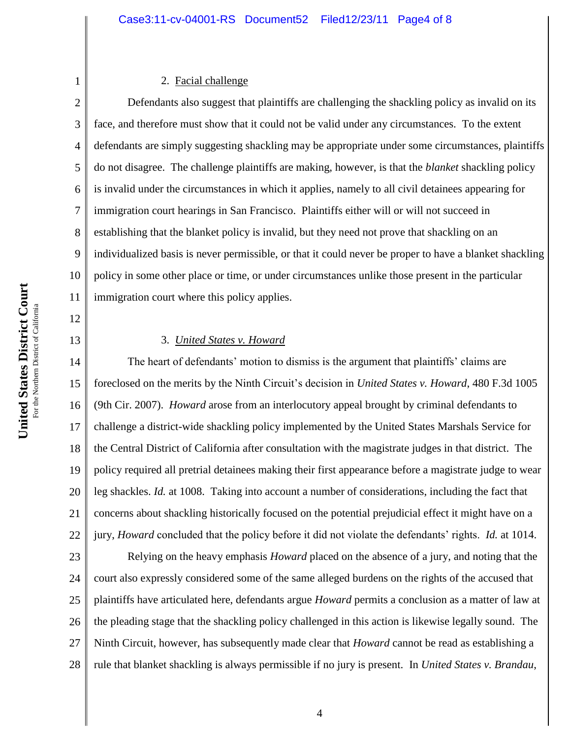#### 2. Facial challenge

2 3 4 5 6 7 8 9 10 11 Defendants also suggest that plaintiffs are challenging the shackling policy as invalid on its face, and therefore must show that it could not be valid under any circumstances. To the extent defendants are simply suggesting shackling may be appropriate under some circumstances, plaintiffs do not disagree. The challenge plaintiffs are making, however, is that the *blanket* shackling policy is invalid under the circumstances in which it applies, namely to all civil detainees appearing for immigration court hearings in San Francisco. Plaintiffs either will or will not succeed in establishing that the blanket policy is invalid, but they need not prove that shackling on an individualized basis is never permissible, or that it could never be proper to have a blanket shackling policy in some other place or time, or under circumstances unlike those present in the particular immigration court where this policy applies.

12 13

1

## 3. *United States v. Howard*

14 15 16 17 18 19 20 21 22 The heart of defendants' motion to dismiss is the argument that plaintiffs' claims are foreclosed on the merits by the Ninth Circuit's decision in *United States v. Howard*, 480 F.3d 1005 (9th Cir. 2007). *Howard* arose from an interlocutory appeal brought by criminal defendants to challenge a district-wide shackling policy implemented by the United States Marshals Service for the Central District of California after consultation with the magistrate judges in that district. The policy required all pretrial detainees making their first appearance before a magistrate judge to wear leg shackles. *Id.* at 1008. Taking into account a number of considerations, including the fact that concerns about shackling historically focused on the potential prejudicial effect it might have on a jury, *Howard* concluded that the policy before it did not violate the defendants' rights. *Id.* at 1014.

23 24 25 26 27 28 Relying on the heavy emphasis *Howard* placed on the absence of a jury, and noting that the court also expressly considered some of the same alleged burdens on the rights of the accused that plaintiffs have articulated here, defendants argue *Howard* permits a conclusion as a matter of law at the pleading stage that the shackling policy challenged in this action is likewise legally sound. The Ninth Circuit, however, has subsequently made clear that *Howard* cannot be read as establishing a rule that blanket shackling is always permissible if no jury is present. In *United States v. Brandau*,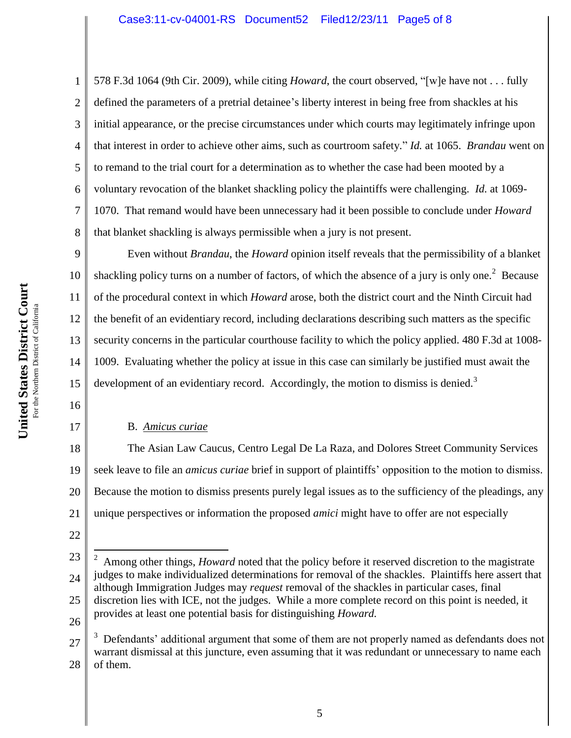2 3 4 6 7 578 F.3d 1064 (9th Cir. 2009), while citing *Howard*, the court observed, "[w]e have not . . . fully defined the parameters of a pretrial detainee's liberty interest in being free from shackles at his initial appearance, or the precise circumstances under which courts may legitimately infringe upon that interest in order to achieve other aims, such as courtroom safety." *Id.* at 1065. *Brandau* went on to remand to the trial court for a determination as to whether the case had been mooted by a voluntary revocation of the blanket shackling policy the plaintiffs were challenging. *Id.* at 1069- 1070. That remand would have been unnecessary had it been possible to conclude under *Howard* that blanket shackling is always permissible when a jury is not present.

9 10 11 12 13 14 15 Even without *Brandau*, the *Howard* opinion itself reveals that the permissibility of a blanket shackling policy turns on a number of factors, of which the absence of a jury is only one.<sup>2</sup> Because of the procedural context in which *Howard* arose, both the district court and the Ninth Circuit had the benefit of an evidentiary record, including declarations describing such matters as the specific security concerns in the particular courthouse facility to which the policy applied. 480 F.3d at 1008- 1009. Evaluating whether the policy at issue in this case can similarly be justified must await the development of an evidentiary record. Accordingly, the motion to dismiss is denied.<sup>3</sup>

16

17

1

5

8

## B. *Amicus curiae*

18 19 20 21 The Asian Law Caucus, Centro Legal De La Raza, and Dolores Street Community Services seek leave to file an *amicus curiae* brief in support of plaintiffs' opposition to the motion to dismiss. Because the motion to dismiss presents purely legal issues as to the sufficiency of the pleadings, any unique perspectives or information the proposed *amici* might have to offer are not especially

22

 $\overline{a}$ 

26

<sup>23</sup> 24 25 2 Among other things, *Howard* noted that the policy before it reserved discretion to the magistrate judges to make individualized determinations for removal of the shackles. Plaintiffs here assert that although Immigration Judges may *request* removal of the shackles in particular cases, final discretion lies with ICE, not the judges. While a more complete record on this point is needed, it provides at least one potential basis for distinguishing *Howard.*

<sup>27</sup> 28 3 Defendants' additional argument that some of them are not properly named as defendants does not warrant dismissal at this juncture, even assuming that it was redundant or unnecessary to name each of them.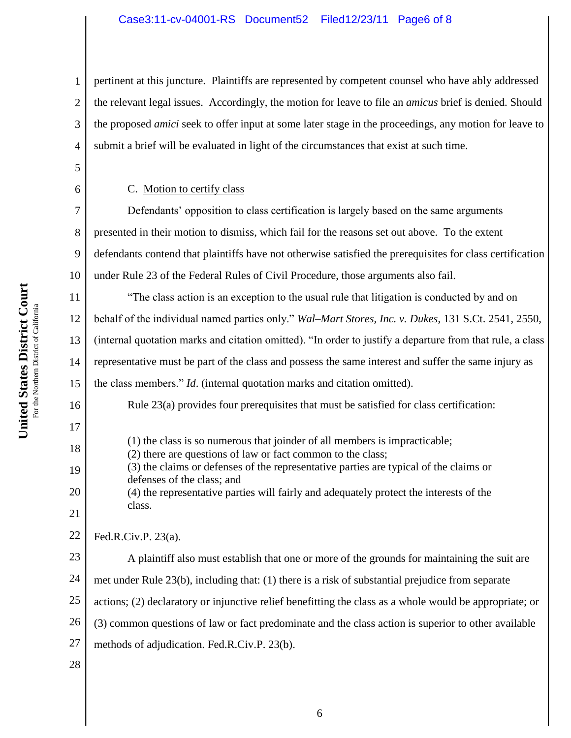### Case3:11-cv-04001-RS Document52 Filed12/23/11 Page6 of 8

3 4 pertinent at this juncture. Plaintiffs are represented by competent counsel who have ably addressed the relevant legal issues. Accordingly, the motion for leave to file an *amicus* brief is denied. Should the proposed *amici* seek to offer input at some later stage in the proceedings, any motion for leave to submit a brief will be evaluated in light of the circumstances that exist at such time.

C. Motion to certify class

7 8 9 10 Defendants' opposition to class certification is largely based on the same arguments presented in their motion to dismiss, which fail for the reasons set out above. To the extent defendants contend that plaintiffs have not otherwise satisfied the prerequisites for class certification under Rule 23 of the Federal Rules of Civil Procedure, those arguments also fail.

11 12 13 14 15 "The class action is an exception to the usual rule that litigation is conducted by and on behalf of the individual named parties only." *Wal–Mart Stores, Inc. v. Dukes*, 131 S.Ct. 2541, 2550, (internal quotation marks and citation omitted). "In order to justify a departure from that rule, a class representative must be part of the class and possess the same interest and suffer the same injury as the class members." *Id*. (internal quotation marks and citation omitted).

Rule 23(a) provides four prerequisites that must be satisfied for class certification:

(1) the class is so numerous that joinder of all members is impracticable; (2) there are questions of law or fact common to the class;

(3) the claims or defenses of the representative parties are typical of the claims or defenses of the class; and

(4) the representative parties will fairly and adequately protect the interests of the class.

22 Fed.R.Civ.P. 23(a).

23 24 25 26 27 A plaintiff also must establish that one or more of the grounds for maintaining the suit are met under Rule 23(b), including that: (1) there is a risk of substantial prejudice from separate actions; (2) declaratory or injunctive relief benefitting the class as a whole would be appropriate; or (3) common questions of law or fact predominate and the class action is superior to other available methods of adjudication. Fed.R.Civ.P. 23(b).

28

1

2

5

6

16

17

18

19

20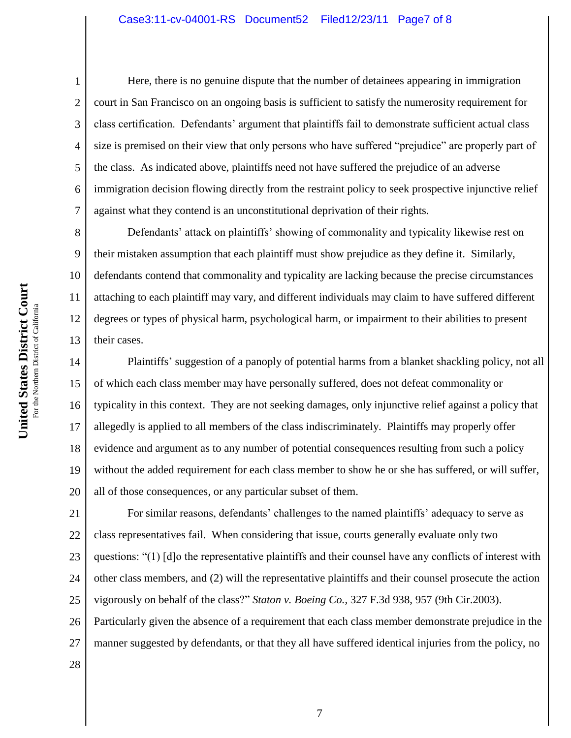Here, there is no genuine dispute that the number of detainees appearing in immigration court in San Francisco on an ongoing basis is sufficient to satisfy the numerosity requirement for class certification. Defendants' argument that plaintiffs fail to demonstrate sufficient actual class size is premised on their view that only persons who have suffered "prejudice" are properly part of the class. As indicated above, plaintiffs need not have suffered the prejudice of an adverse immigration decision flowing directly from the restraint policy to seek prospective injunctive relief against what they contend is an unconstitutional deprivation of their rights.

9 10 13 Defendants' attack on plaintiffs' showing of commonality and typicality likewise rest on their mistaken assumption that each plaintiff must show prejudice as they define it. Similarly, defendants contend that commonality and typicality are lacking because the precise circumstances attaching to each plaintiff may vary, and different individuals may claim to have suffered different degrees or types of physical harm, psychological harm, or impairment to their abilities to present their cases.

14 15 16 17 18 19 20 Plaintiffs' suggestion of a panoply of potential harms from a blanket shackling policy, not all of which each class member may have personally suffered, does not defeat commonality or typicality in this context. They are not seeking damages, only injunctive relief against a policy that allegedly is applied to all members of the class indiscriminately. Plaintiffs may properly offer evidence and argument as to any number of potential consequences resulting from such a policy without the added requirement for each class member to show he or she has suffered, or will suffer, all of those consequences, or any particular subset of them.

21 22 23 24 25 For similar reasons, defendants' challenges to the named plaintiffs' adequacy to serve as class representatives fail. When considering that issue, courts generally evaluate only two questions: "(1) [d]o the representative plaintiffs and their counsel have any conflicts of interest with other class members, and (2) will the representative plaintiffs and their counsel prosecute the action vigorously on behalf of the class?" *Staton v. Boeing Co.,* 327 F.3d 938, 957 (9th Cir.2003).

26 Particularly given the absence of a requirement that each class member demonstrate prejudice in the

27 manner suggested by defendants, or that they all have suffered identical injuries from the policy, no

28

1

2

3

4

5

6

7

8

11